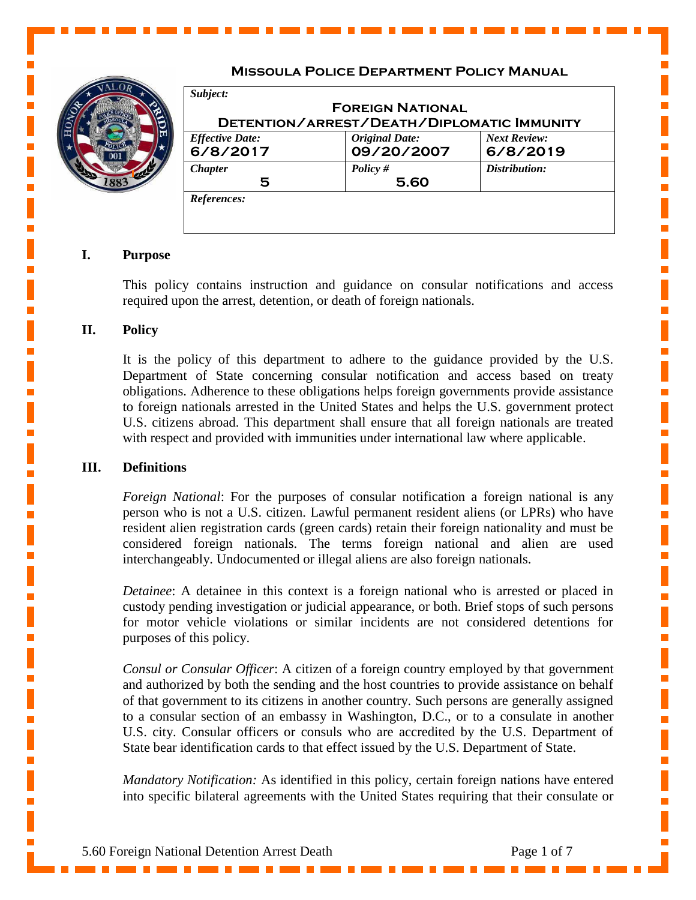

# **Missoula Police Department Policy Manual**

| Subject:               | <b>FOREIGN NATIONAL</b>                    |                     |
|------------------------|--------------------------------------------|---------------------|
|                        | DETENTION/ARREST/DEATH/DIPLOMATIC IMMUNITY |                     |
| <b>Effective Date:</b> | <b>Original Date:</b>                      | <b>Next Review:</b> |
| 6/8/2017               | 09/20/2007                                 | 6/8/2019            |
| <b>Chapter</b>         | Policy $#$                                 | Distribution:       |
| 5                      | 5.60                                       |                     |

## **I. Purpose**

This policy contains instruction and guidance on consular notifications and access required upon the arrest, detention, or death of foreign nationals.

## **II. Policy**

It is the policy of this department to adhere to the guidance provided by the U.S. Department of State concerning consular notification and access based on treaty obligations. Adherence to these obligations helps foreign governments provide assistance to foreign nationals arrested in the United States and helps the U.S. government protect U.S. citizens abroad. This department shall ensure that all foreign nationals are treated with respect and provided with immunities under international law where applicable.

### **III. Definitions**

*Foreign National*: For the purposes of consular notification a foreign national is any person who is not a U.S. citizen. Lawful permanent resident aliens (or LPRs) who have resident alien registration cards (green cards) retain their foreign nationality and must be considered foreign nationals. The terms foreign national and alien are used interchangeably. Undocumented or illegal aliens are also foreign nationals.

*Detainee*: A detainee in this context is a foreign national who is arrested or placed in custody pending investigation or judicial appearance, or both. Brief stops of such persons for motor vehicle violations or similar incidents are not considered detentions for purposes of this policy.

*Consul or Consular Officer*: A citizen of a foreign country employed by that government and authorized by both the sending and the host countries to provide assistance on behalf of that government to its citizens in another country. Such persons are generally assigned to a consular section of an embassy in Washington, D.C., or to a consulate in another U.S. city. Consular officers or consuls who are accredited by the U.S. Department of State bear identification cards to that effect issued by the U.S. Department of State.

*Mandatory Notification:* As identified in this policy, certain foreign nations have entered into specific bilateral agreements with the United States requiring that their consulate or

Ē,

 $\mathbf{r}$ 

 $\overline{\mathbb{R}}$ 

 $\mathbf{r}$ 

Ē,

 $\mathbb{R}^2$ 

 $\mathbb{R}^2$ 

 $\mathbf{r}$ 

Ē,  $\overline{\phantom{a}}$ 

 $\mathbf{r}$ 

 $\mathbf{r}$ 

Ī.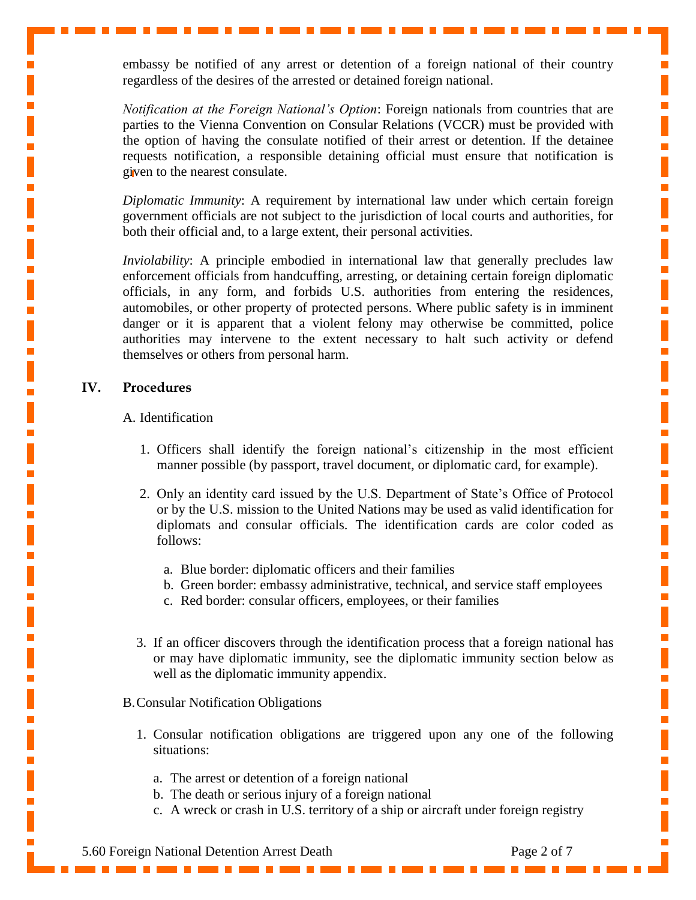embassy be notified of any arrest or detention of a foreign national of their country regardless of the desires of the arrested or detained foreign national.

*Notification at the Foreign National's Option*: Foreign nationals from countries that are parties to the Vienna Convention on Consular Relations (VCCR) must be provided with the option of having the consulate notified of their arrest or detention. If the detainee requests notification, a responsible detaining official must ensure that notification is given to the nearest consulate.

*Diplomatic Immunity*: A requirement by international law under which certain foreign government officials are not subject to the jurisdiction of local courts and authorities, for both their official and, to a large extent, their personal activities.

*Inviolability*: A principle embodied in international law that generally precludes law enforcement officials from handcuffing, arresting, or detaining certain foreign diplomatic officials, in any form, and forbids U.S. authorities from entering the residences, automobiles, or other property of protected persons. Where public safety is in imminent danger or it is apparent that a violent felony may otherwise be committed, police authorities may intervene to the extent necessary to halt such activity or defend themselves or others from personal harm.

# **IV. Procedures**

### A. Identification

- 1. Officers shall identify the foreign national's citizenship in the most efficient manner possible (by passport, travel document, or diplomatic card, for example).
- 2. Only an identity card issued by the U.S. Department of State's Office of Protocol or by the U.S. mission to the United Nations may be used as valid identification for diplomats and consular officials. The identification cards are color coded as follows:
	- a. Blue border: diplomatic officers and their families
	- b. Green border: embassy administrative, technical, and service staff employees
	- c. Red border: consular officers, employees, or their families
- 3. If an officer discovers through the identification process that a foreign national has or may have diplomatic immunity, see the diplomatic immunity section below as well as the diplomatic immunity appendix.
- B.Consular Notification Obligations
	- 1. Consular notification obligations are triggered upon any one of the following situations:
		- a. The arrest or detention of a foreign national
		- b. The death or serious injury of a foreign national
		- c. A wreck or crash in U.S. territory of a ship or aircraft under foreign registry

5.60 Foreign National Detention Arrest Death Page 2 of 7

L.

 $\overline{\mathbb{R}}$ Ē.  $\overline{\phantom{a}}$ 

 $\mathbb{R}^2$  $\overline{\mathbb{R}}$ 

 $\overline{\mathbb{R}}$ 

 $\mathbb{R}^2$ 

 $\mathbf{r}$ 

Ē,

 $\mathbb{R}^2$  $\mathbb{R}^2$ 

Ē, 

 $\overline{\phantom{a}}$ I  $\mathbb{R}^2$ 

 $\mathbf{r}$ 

 $\overline{\mathbb{R}}$ 

Ì,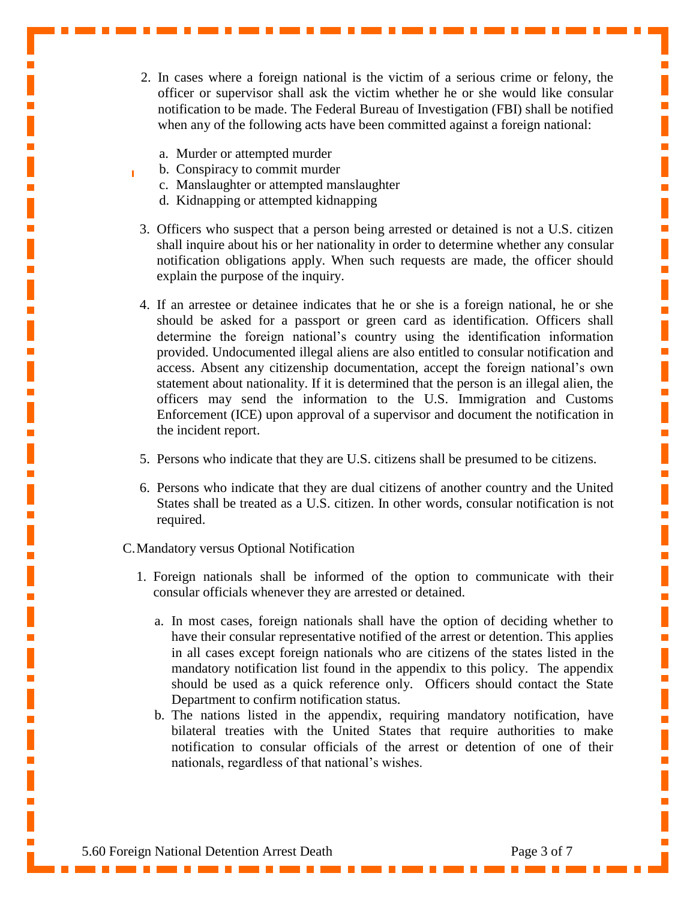- 2. In cases where a foreign national is the victim of a serious crime or felony, the officer or supervisor shall ask the victim whether he or she would like consular notification to be made. The Federal Bureau of Investigation (FBI) shall be notified when any of the following acts have been committed against a foreign national:
	- a. Murder or attempted murder
	- b. Conspiracy to commit murder
	- c. Manslaughter or attempted manslaughter
	- d. Kidnapping or attempted kidnapping
- 3. Officers who suspect that a person being arrested or detained is not a U.S. citizen shall inquire about his or her nationality in order to determine whether any consular notification obligations apply. When such requests are made, the officer should explain the purpose of the inquiry.
- 4. If an arrestee or detainee indicates that he or she is a foreign national, he or she should be asked for a passport or green card as identification. Officers shall determine the foreign national's country using the identification information provided. Undocumented illegal aliens are also entitled to consular notification and access. Absent any citizenship documentation, accept the foreign national's own statement about nationality. If it is determined that the person is an illegal alien, the officers may send the information to the U.S. Immigration and Customs Enforcement (ICE) upon approval of a supervisor and document the notification in the incident report.
- 5. Persons who indicate that they are U.S. citizens shall be presumed to be citizens.
- 6. Persons who indicate that they are dual citizens of another country and the United States shall be treated as a U.S. citizen. In other words, consular notification is not required.

#### C.Mandatory versus Optional Notification

- 1. Foreign nationals shall be informed of the option to communicate with their consular officials whenever they are arrested or detained.
	- a. In most cases, foreign nationals shall have the option of deciding whether to have their consular representative notified of the arrest or detention. This applies in all cases except foreign nationals who are citizens of the states listed in the mandatory notification list found in the appendix to this policy. The appendix should be used as a quick reference only. Officers should contact the State Department to confirm notification status.
	- b. The nations listed in the appendix, requiring mandatory notification, have bilateral treaties with the United States that require authorities to make notification to consular officials of the arrest or detention of one of their nationals, regardless of that national's wishes.

 $\overline{\mathbb{R}}$ 

Ī.

 $\overline{\mathbb{R}}$ 

 $\overline{\phantom{a}}$ 

 $\overline{\mathbb{R}}$ 

Ē.

 $\mathbb{R}^2$ 

 $\overline{\phantom{a}}$ Ī.

Ī.  $\overline{\phantom{a}}$ Ľ

 $\overline{\mathbb{R}}$ 

Ē.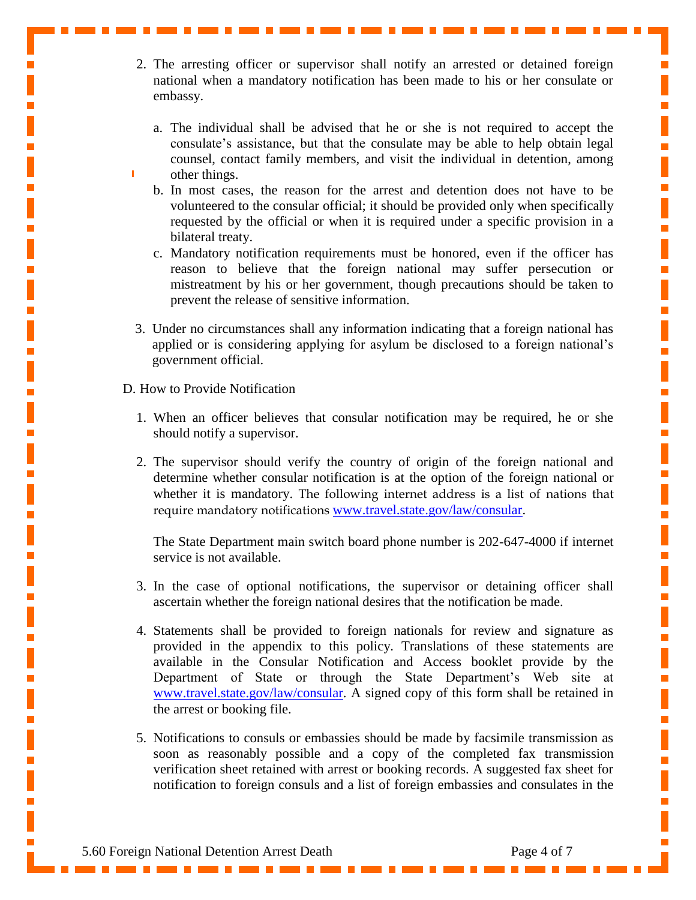- 2. The arresting officer or supervisor shall notify an arrested or detained foreign national when a mandatory notification has been made to his or her consulate or embassy.
	- a. The individual shall be advised that he or she is not required to accept the consulate's assistance, but that the consulate may be able to help obtain legal counsel, contact family members, and visit the individual in detention, among other things.
	- b. In most cases, the reason for the arrest and detention does not have to be volunteered to the consular official; it should be provided only when specifically requested by the official or when it is required under a specific provision in a bilateral treaty.
	- c. Mandatory notification requirements must be honored, even if the officer has reason to believe that the foreign national may suffer persecution or mistreatment by his or her government, though precautions should be taken to prevent the release of sensitive information.
- 3. Under no circumstances shall any information indicating that a foreign national has applied or is considering applying for asylum be disclosed to a foreign national's government official.
- D. How to Provide Notification
	- 1. When an officer believes that consular notification may be required, he or she should notify a supervisor.
	- 2. The supervisor should verify the country of origin of the foreign national and determine whether consular notification is at the option of the foreign national or whether it is mandatory. The following internet address is a list of nations that require mandatory notifications [www.travel.state.gov/law/consular.](http://www.travel.state.gov/law/consular)

The State Department main switch board phone number is 202-647-4000 if internet service is not available.

- 3. In the case of optional notifications, the supervisor or detaining officer shall ascertain whether the foreign national desires that the notification be made.
- 4. Statements shall be provided to foreign nationals for review and signature as provided in the appendix to this policy. Translations of these statements are available in the Consular Notification and Access booklet provide by the Department of State or through the State Department's Web site at [www.travel.state.gov/law/consular.](http://www.travel.state.gov/law/consular/consular_749.html) A signed copy of this form shall be retained in the arrest or booking file.
- 5. Notifications to consuls or embassies should be made by facsimile transmission as soon as reasonably possible and a copy of the completed fax transmission verification sheet retained with arrest or booking records. A suggested fax sheet for notification to foreign consuls and a list of foreign embassies and consulates in the

Ē.

 $\mathbb{R}^2$ Ī. I  $\overline{\phantom{a}}$ 

 $\overline{\mathbb{R}}$  $\overline{\mathbb{R}}$ 

 $\overline{\phantom{a}}$ I Ē. 

I

 $\overline{\phantom{a}}$  $\overline{\mathbb{R}}$ 

 $\overline{\phantom{a}}$ Ē. Ī

 $\overline{\phantom{a}}$  $\overline{\mathbb{R}}$ 

 $\overline{\mathbb{R}}$ 

Ī. 

i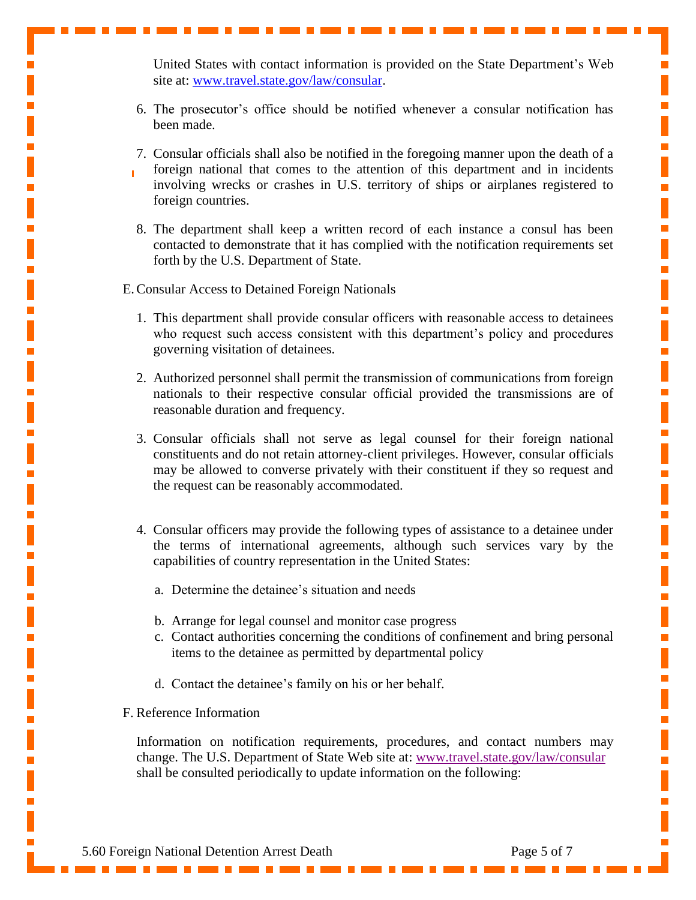United States with contact information is provided on the State Department's Web site at: [www.travel.state.gov/law/consular.](http://www.travel.state.gov/law/consular)

- 6. The prosecutor's office should be notified whenever a consular notification has been made.
- 7. Consular officials shall also be notified in the foregoing manner upon the death of a foreign national that comes to the attention of this department and in incidents involving wrecks or crashes in U.S. territory of ships or airplanes registered to foreign countries.
- 8. The department shall keep a written record of each instance a consul has been contacted to demonstrate that it has complied with the notification requirements set forth by the U.S. Department of State.

E.Consular Access to Detained Foreign Nationals

- 1. This department shall provide consular officers with reasonable access to detainees who request such access consistent with this department's policy and procedures governing visitation of detainees.
- 2. Authorized personnel shall permit the transmission of communications from foreign nationals to their respective consular official provided the transmissions are of reasonable duration and frequency.
- 3. Consular officials shall not serve as legal counsel for their foreign national constituents and do not retain attorney-client privileges. However, consular officials may be allowed to converse privately with their constituent if they so request and the request can be reasonably accommodated.
- 4. Consular officers may provide the following types of assistance to a detainee under the terms of international agreements, although such services vary by the capabilities of country representation in the United States:
	- a. Determine the detainee's situation and needs
	- b. Arrange for legal counsel and monitor case progress
	- c. Contact authorities concerning the conditions of confinement and bring personal items to the detainee as permitted by departmental policy
	- d. Contact the detainee's family on his or her behalf.
- F. Reference Information

Information on notification requirements, procedures, and contact numbers may change. The U.S. Department of State Web site at: [www.travel.state.gov/law/consular](http://www.travel.state.gov/law/consular/consular_753.html) shall be consulted periodically to update information on the following:

п

 $\overline{\mathbb{R}}$ Ī.

 $\overline{\mathbb{R}}$ 

 $\overline{\mathbb{R}}$ 

 $\overline{\mathbb{R}}$ 

 $\mathbb{R}^2$ 

I

 $\overline{\phantom{a}}$ Ē,  $\overline{\mathbb{R}}$ 

 $\mathbf{r}$ 

 $\overline{\mathbb{R}}$ 

 $\mathbf{r}$ 

Ē,

Ē.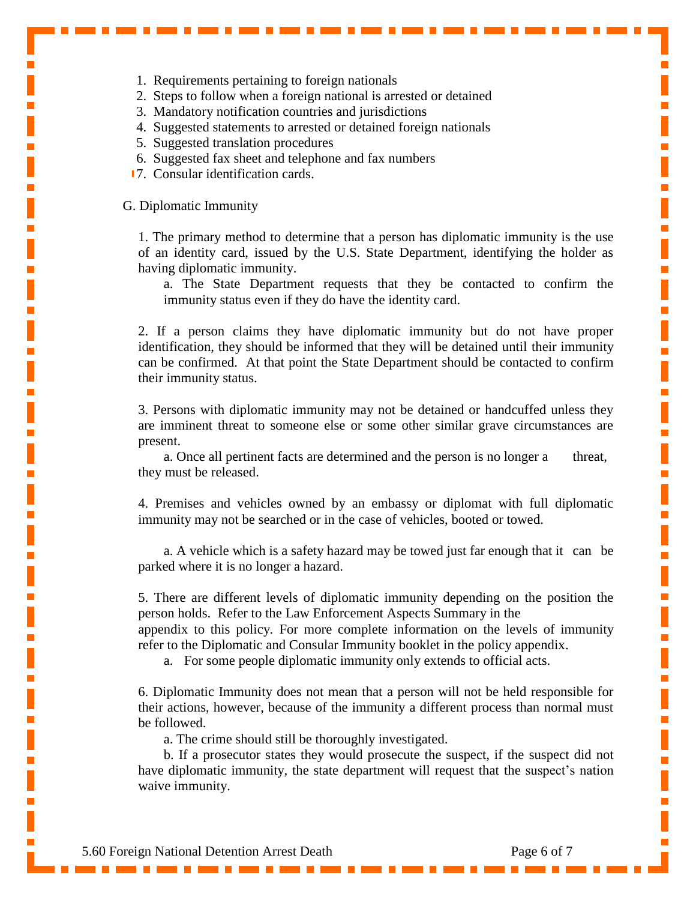- 1. Requirements pertaining to foreign nationals
- 2. Steps to follow when a foreign national is arrested or detained
- 3. Mandatory notification countries and jurisdictions
- 4. Suggested statements to arrested or detained foreign nationals
- 5. Suggested translation procedures
- 6. Suggested fax sheet and telephone and fax numbers
- 7. Consular identification cards.

G. Diplomatic Immunity

1. The primary method to determine that a person has diplomatic immunity is the use of an identity card, issued by the U.S. State Department, identifying the holder as having diplomatic immunity.

a. The State Department requests that they be contacted to confirm the immunity status even if they do have the identity card.

2. If a person claims they have diplomatic immunity but do not have proper identification, they should be informed that they will be detained until their immunity can be confirmed. At that point the State Department should be contacted to confirm their immunity status.

3. Persons with diplomatic immunity may not be detained or handcuffed unless they are imminent threat to someone else or some other similar grave circumstances are present.

a. Once all pertinent facts are determined and the person is no longer a threat, they must be released.

4. Premises and vehicles owned by an embassy or diplomat with full diplomatic immunity may not be searched or in the case of vehicles, booted or towed.

a. A vehicle which is a safety hazard may be towed just far enough that it can be parked where it is no longer a hazard.

5. There are different levels of diplomatic immunity depending on the position the person holds. Refer to the Law Enforcement Aspects Summary in the

appendix to this policy. For more complete information on the levels of immunity refer to the Diplomatic and Consular Immunity booklet in the policy appendix.

a. For some people diplomatic immunity only extends to official acts.

6. Diplomatic Immunity does not mean that a person will not be held responsible for their actions, however, because of the immunity a different process than normal must be followed.

a. The crime should still be thoroughly investigated.

b. If a prosecutor states they would prosecute the suspect, if the suspect did not have diplomatic immunity, the state department will request that the suspect's nation waive immunity.

 $\mathbf{r}$ 

 $\overline{\phantom{a}}$ 

 $\overline{\mathbb{R}}$ 

Ī. 

I

 $\mathbf{r}$ Ī.

 $\overline{\mathbb{R}}$ 

I

 $\mathbf{r}$  $\mathbb{R}^2$ 

 $\mathbf{r}$ 

Ē.